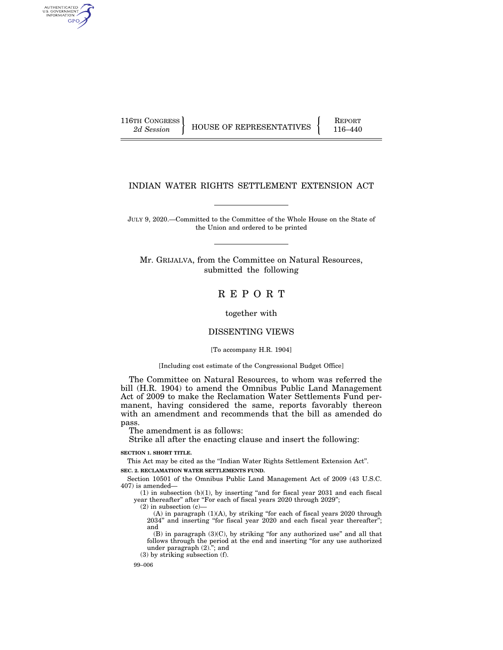AUTHENTICATED<br>U.S. GOVERNMENT<br>INFORMATION GPO

116TH CONGRESS HOUSE OF REPRESENTATIVES FEPORT 116–440

## INDIAN WATER RIGHTS SETTLEMENT EXTENSION ACT

JULY 9, 2020.—Committed to the Committee of the Whole House on the State of the Union and ordered to be printed

Mr. GRIJALVA, from the Committee on Natural Resources, submitted the following

R E P O R T

together with

# DISSENTING VIEWS

#### [To accompany H.R. 1904]

#### [Including cost estimate of the Congressional Budget Office]

The Committee on Natural Resources, to whom was referred the bill (H.R. 1904) to amend the Omnibus Public Land Management Act of 2009 to make the Reclamation Water Settlements Fund permanent, having considered the same, reports favorably thereon with an amendment and recommends that the bill as amended do pass.

The amendment is as follows:

Strike all after the enacting clause and insert the following:

**SECTION 1. SHORT TITLE.** 

This Act may be cited as the ''Indian Water Rights Settlement Extension Act''. **SEC. 2. RECLAMATION WATER SETTLEMENTS FUND.** 

Section 10501 of the Omnibus Public Land Management Act of 2009 (43 U.S.C. 407) is amended—

 $(1)$  in subsection  $(b)(1)$ , by inserting "and for fiscal year 2031 and each fiscal year thereafter" after "For each of fiscal years 2020 through 2029";

 $(2)$  in subsection  $(c)$ 

(A) in paragraph (1)(A), by striking ''for each of fiscal years 2020 through 2034'' and inserting ''for fiscal year 2020 and each fiscal year thereafter''; and

(B) in paragraph (3)(C), by striking ''for any authorized use'' and all that follows through the period at the end and inserting ''for any use authorized under paragraph  $(2)$ ."; and

(3) by striking subsection (f).

99–006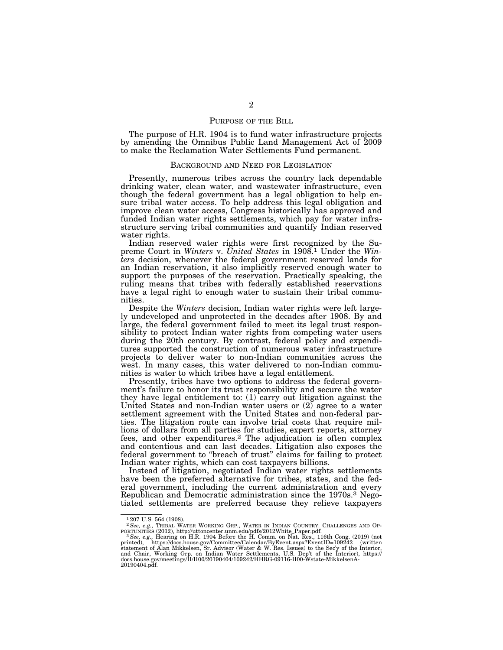#### PURPOSE OF THE BILL

The purpose of H.R. 1904 is to fund water infrastructure projects by amending the Omnibus Public Land Management Act of 2009 to make the Reclamation Water Settlements Fund permanent.

#### BACKGROUND AND NEED FOR LEGISLATION

Presently, numerous tribes across the country lack dependable drinking water, clean water, and wastewater infrastructure, even though the federal government has a legal obligation to help ensure tribal water access. To help address this legal obligation and improve clean water access, Congress historically has approved and funded Indian water rights settlements, which pay for water infrastructure serving tribal communities and quantify Indian reserved water rights.

Indian reserved water rights were first recognized by the Supreme Court in *Winters* v. *United States* in 1908.1 Under the *Winters* decision, whenever the federal government reserved lands for an Indian reservation, it also implicitly reserved enough water to support the purposes of the reservation. Practically speaking, the ruling means that tribes with federally established reservations have a legal right to enough water to sustain their tribal communities.

Despite the *Winters* decision, Indian water rights were left largely undeveloped and unprotected in the decades after 1908. By and large, the federal government failed to meet its legal trust responsibility to protect Indian water rights from competing water users during the 20th century. By contrast, federal policy and expenditures supported the construction of numerous water infrastructure projects to deliver water to non-Indian communities across the west. In many cases, this water delivered to non-Indian communities is water to which tribes have a legal entitlement.

Presently, tribes have two options to address the federal government's failure to honor its trust responsibility and secure the water they have legal entitlement to: (1) carry out litigation against the United States and non-Indian water users or  $(2)$  agree to a water settlement agreement with the United States and non-federal parties. The litigation route can involve trial costs that require millions of dollars from all parties for studies, expert reports, attorney fees, and other expenditures.<sup>2</sup> The adjudication is often complex and contentious and can last decades. Litigation also exposes the federal government to ''breach of trust'' claims for failing to protect Indian water rights, which can cost taxpayers billions.

Instead of litigation, negotiated Indian water rights settlements have been the preferred alternative for tribes, states, and the federal government, including the current administration and every Republican and Democratic administration since the 1970s.<sup>3</sup> Negotiated settlements are preferred because they relieve taxpayers

<sup>&</sup>lt;sup>1</sup>207 U.S. 564 (1908)

 $^2\text{See}, e.g.,$  TRIBAL WATER WORKING GRP., WATER IN INDIAN COUNTRY: CHALLENGES AND OPPORTUNITIES (2012), http://uttoncenter.umm.edu/pdfs/2012White\_Paper.pdf.  $^3\text{See}, e.g.,$  Hearing on H.R. 1904 Before the H. Comm. on Nat. Res. 20190404.pdf.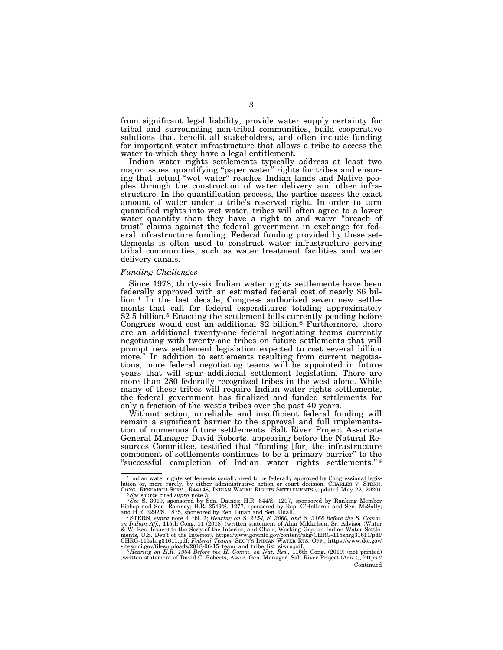from significant legal liability, provide water supply certainty for tribal and surrounding non-tribal communities, build cooperative solutions that benefit all stakeholders, and often include funding for important water infrastructure that allows a tribe to access the water to which they have a legal entitlement.

Indian water rights settlements typically address at least two major issues: quantifying ''paper water'' rights for tribes and ensuring that actual ''wet water'' reaches Indian lands and Native peoples through the construction of water delivery and other infrastructure. In the quantification process, the parties assess the exact amount of water under a tribe's reserved right. In order to turn quantified rights into wet water, tribes will often agree to a lower water quantity than they have a right to and waive "breach of trust'' claims against the federal government in exchange for federal infrastructure funding. Federal funding provided by these settlements is often used to construct water infrastructure serving tribal communities, such as water treatment facilities and water delivery canals.

#### *Funding Challenges*

Since 1978, thirty-six Indian water rights settlements have been federally approved with an estimated federal cost of nearly \$6 billion.4 In the last decade, Congress authorized seven new settlements that call for federal expenditures totaling approximately  $$2.5$  billion.<sup>5</sup> Enacting the settlement bills currently pending before Congress would cost an additional  $$2$  billion.<sup>6</sup> Furthermore, there are an additional twenty-one federal negotiating teams currently negotiating with twenty-one tribes on future settlements that will prompt new settlement legislation expected to cost several billion more.<sup>7</sup> In addition to settlements resulting from current negotiations, more federal negotiating teams will be appointed in future years that will spur additional settlement legislation. There are more than 280 federally recognized tribes in the west alone. While many of these tribes will require Indian water rights settlements, the federal government has finalized and funded settlements for only a fraction of the west's tribes over the past 40 years.

Without action, unreliable and insufficient federal funding will remain a significant barrier to the approval and full implementation of numerous future settlements. Salt River Project Associate General Manager David Roberts, appearing before the Natural Resources Committee, testified that ''funding [for] the infrastructure component of settlements continues to be a primary barrier'' to the "successful completion of Indian water rights settlements."<sup>8</sup>

<sup>&</sup>lt;sup>4</sup> Indian water rights settlements usually need to be federally approved by Congressional legislation or, more rarely, by either administrative action or court decision. CHARLES V. STERN, CONG. RESEARCH SERV., R44148, IND

lation or, more rarely, by either administrative action or court decision. CHARLES V. STERN, CONG. RESEARCH SERV, R44148, INDIAN WATER RIGHTS SETTLEMENTS (updated May 22, 2020).<br>
See source cited supra note 3.<br>
<sup>6</sup> See S.

Continued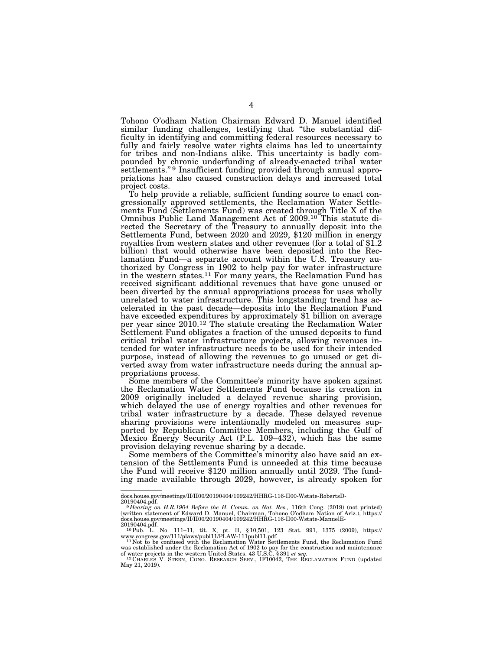Tohono O'odham Nation Chairman Edward D. Manuel identified similar funding challenges, testifying that ''the substantial difficulty in identifying and committing federal resources necessary to fully and fairly resolve water rights claims has led to uncertainty for tribes and non-Indians alike. This uncertainty is badly compounded by chronic underfunding of already-enacted tribal water settlements."<sup>9</sup> Insufficient funding provided through annual appropriations has also caused construction delays and increased total project costs.

To help provide a reliable, sufficient funding source to enact congressionally approved settlements, the Reclamation Water Settlements Fund (Settlements Fund) was created through Title X of the Omnibus Public Land Management Act of 2009.10 This statute directed the Secretary of the Treasury to annually deposit into the Settlements Fund, between 2020 and 2029, \$120 million in energy royalties from western states and other revenues (for a total of \$1.2) billion) that would otherwise have been deposited into the Reclamation Fund—a separate account within the U.S. Treasury authorized by Congress in 1902 to help pay for water infrastructure in the western states.11 For many years, the Reclamation Fund has received significant additional revenues that have gone unused or been diverted by the annual appropriations process for uses wholly unrelated to water infrastructure. This longstanding trend has accelerated in the past decade—deposits into the Reclamation Fund have exceeded expenditures by approximately \$1 billion on average per year since 2010.12 The statute creating the Reclamation Water Settlement Fund obligates a fraction of the unused deposits to fund critical tribal water infrastructure projects, allowing revenues intended for water infrastructure needs to be used for their intended purpose, instead of allowing the revenues to go unused or get diverted away from water infrastructure needs during the annual appropriations process.

Some members of the Committee's minority have spoken against the Reclamation Water Settlements Fund because its creation in 2009 originally included a delayed revenue sharing provision, which delayed the use of energy royalties and other revenues for tribal water infrastructure by a decade. These delayed revenue sharing provisions were intentionally modeled on measures supported by Republican Committee Members, including the Gulf of Mexico Energy Security Act (P.L. 109–432), which has the same provision delaying revenue sharing by a decade.

Some members of the Committee's minority also have said an extension of the Settlements Fund is unneeded at this time because the Fund will receive \$120 million annually until 2029. The funding made available through 2029, however, is already spoken for

docs.house.gov/meetings/II/II00/20190404/109242/HHRG-116-II00-Wstate-RobertsD-20190404.pdf.

<sup>20190404.</sup>pdf. 9 *Hearing on H.R.1904 Before the H. Comm. on Nat. Res.,* 116th Cong. (2019) (not printed) (written statement of Edward D. Manuel, Chairman, Tohono O'odham Nation of Ariz.), https://

docs.house.gov/meetings/II/II00/20190404/109242/HHRG-116-II00-Wstate-ManuelE-<br>20190404.pdf.<br>- <sup>10</sup> Pub. L. No. 111–11, tit. X, pt. II, §10,501, 123 Stat. 991, 1375 (2009), https://

www.congress.gov/111/plaws/publ11/PLAW-111publ11.pdf.<br><sup>11</sup>Not to be confused with the Reclamation Water Settlements Fund, the Reclamation Fund<br>was established under the Reclamation Act of 1902 to pay for the construction a

May 21, 2019).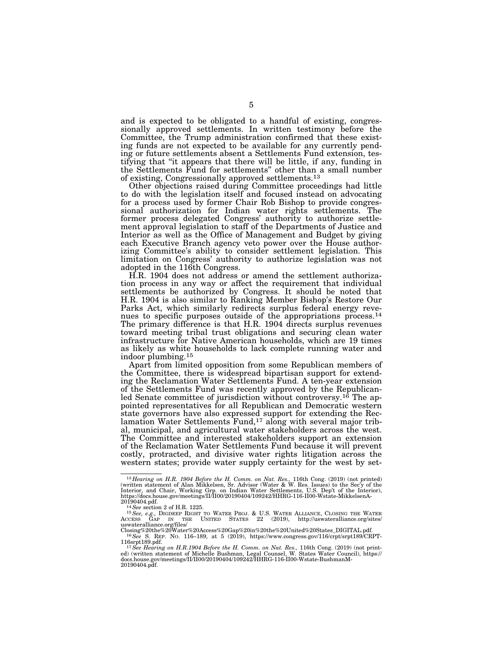and is expected to be obligated to a handful of existing, congressionally approved settlements. In written testimony before the Committee, the Trump administration confirmed that these existing funds are not expected to be available for any currently pending or future settlements absent a Settlements Fund extension, testifying that ''it appears that there will be little, if any, funding in the Settlements Fund for settlements'' other than a small number of existing, Congressionally approved settlements.13

Other objections raised during Committee proceedings had little to do with the legislation itself and focused instead on advocating for a process used by former Chair Rob Bishop to provide congressional authorization for Indian water rights settlements. The former process delegated Congress' authority to authorize settlement approval legislation to staff of the Departments of Justice and Interior as well as the Office of Management and Budget by giving each Executive Branch agency veto power over the House authorizing Committee's ability to consider settlement legislation. This limitation on Congress' authority to authorize legislation was not adopted in the 116th Congress.

H.R. 1904 does not address or amend the settlement authorization process in any way or affect the requirement that individual settlements be authorized by Congress. It should be noted that H.R. 1904 is also similar to Ranking Member Bishop's Restore Our Parks Act, which similarly redirects surplus federal energy revenues to specific purposes outside of the appropriations process.14 The primary difference is that H.R. 1904 directs surplus revenues toward meeting tribal trust obligations and securing clean water infrastructure for Native American households, which are 19 times as likely as white households to lack complete running water and indoor plumbing.15

Apart from limited opposition from some Republican members of the Committee, there is widespread bipartisan support for extending the Reclamation Water Settlements Fund. A ten-year extension of the Settlements Fund was recently approved by the Republicanled Senate committee of jurisdiction without controversy.<sup>16</sup> The appointed representatives for all Republican and Democratic western state governors have also expressed support for extending the Reclamation Water Settlements Fund,<sup>17</sup> along with several major tribal, municipal, and agricultural water stakeholders across the west. The Committee and interested stakeholders support an extension of the Reclamation Water Settlements Fund because it will prevent costly, protracted, and divisive water rights litigation across the western states; provide water supply certainty for the west by set-

 $^{13}Hearing$  on H.R. 1904 Before the H. Comm. on Nat. Res., 116th Cong. (2019) (not printed) (written statement of Alan Mikkelsen, Sr. Advisor (Water & W. Res. Issues) to the Secy of the Interior, and Chair, Working Grp. on I

 $\begin{tabular}{lllllllll} 20190404.pdf. & ^{14}See section\ 2 of H.R.~1225. & ^{14}See section\ 2 of H.R.~1225. & ^{15}See, e.g., DIGDEEP RGHT TO WATER PROJ. & U.S. WATER ALLIANCE, CLOSING THE WATER Access GAP IN THE UNITED STRTES & ^{22} (2019), http://uswateralliance.org/sites/Classes\ 2084the%20064n@720the%20064the%20084a469th@720the%20084a40th@80000000000000000000000000000$ 

<sup>116</sup>srpt189.pdf.<br><sup>17</sup>*See Hearing on H.R.1904 Before the H. Comm. on Nat. Res.*, 116th Cong. (2019) (not print-<br>ed) (written statement of Michelle Bushman, Legal Counsel, W. States Water Council), https://<br>docs.house.gov/me 20190404.pdf.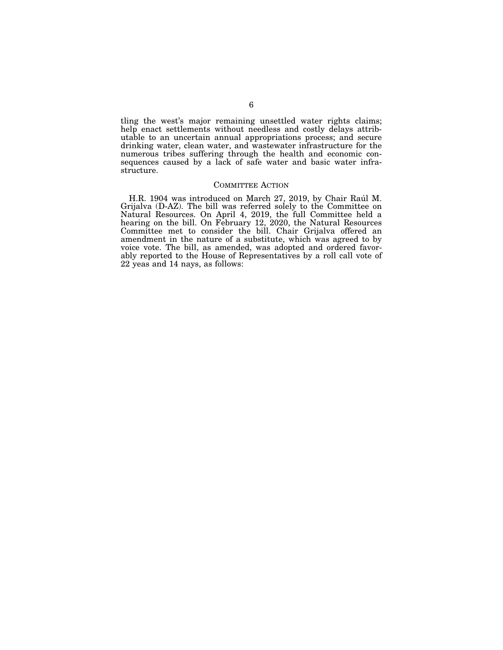tling the west's major remaining unsettled water rights claims; help enact settlements without needless and costly delays attributable to an uncertain annual appropriations process; and secure drinking water, clean water, and wastewater infrastructure for the numerous tribes suffering through the health and economic consequences caused by a lack of safe water and basic water infrastructure.

#### COMMITTEE ACTION

H.R. 1904 was introduced on March 27, 2019, by Chair Raúl M. Grijalva (D-AZ). The bill was referred solely to the Committee on Natural Resources. On April 4, 2019, the full Committee held a hearing on the bill. On February 12, 2020, the Natural Resources Committee met to consider the bill. Chair Grijalva offered an amendment in the nature of a substitute, which was agreed to by voice vote. The bill, as amended, was adopted and ordered favorably reported to the House of Representatives by a roll call vote of 22 yeas and 14 nays, as follows: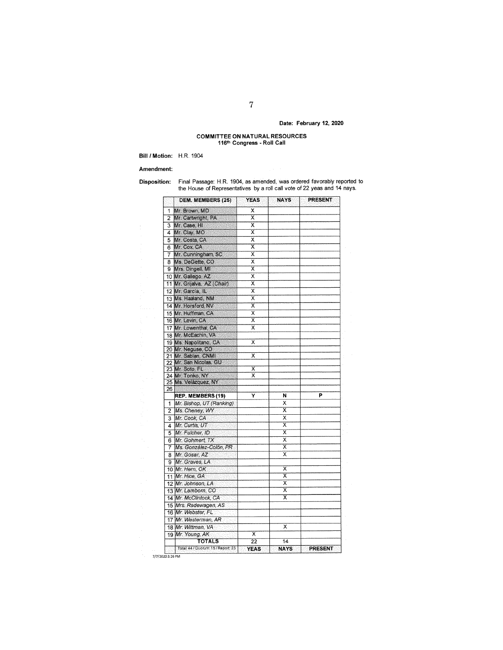# Date: February 12, 2020

# **COMMITTEE ON NATURAL RESOURCES**<br>116<sup>th</sup> Congress - Roll Call

Bill / Motion: H.R. 1904

#### Amendment:

**Disposition:** 

Final Passage: H.R. 1904, as amended, was ordered favorably reported to the House of Representatives by a roll call vote of 22 yeas and 14 nays.

|                | <b>DEM. MEMBERS (25)</b>                 | <b>YEAS</b>                | <b>NAYS</b>             | <b>PRESENT</b> |
|----------------|------------------------------------------|----------------------------|-------------------------|----------------|
| 1              | Mr. Brown, MD                            | х                          |                         |                |
| 2              | Mr. Cartwright, PA                       | $\overline{\textsf{x}}$    |                         |                |
| 3              | Mr. Case, HI                             | x                          |                         |                |
|                | 4 Mr Clay, MO                            | $\overline{\textsf{x}}$    |                         |                |
| 5              | Mr. Costa, CA                            | X                          |                         |                |
| 6              | Mr. Cox, CA                              | $\overline{\mathsf{x}}$    |                         |                |
|                | 7 Mr. Cunningham, SC                     | X                          |                         |                |
|                | 8 Ms. DeGette, CO                        | X                          |                         |                |
|                | 9 Mrs. Dingell, MI                       | X                          |                         |                |
|                | 10 Mr. Gallego, AZ                       | $\overline{\mathsf{x}}$    |                         |                |
|                | 11 Mr. Grijalva, AZ (Chair)              | Χ                          |                         |                |
|                | 12 Mr. Garcia, IL                        | $\overline{\mathsf{x}}$    |                         |                |
|                | 13 Ms. Haaland, NM                       | $\overline{\mathsf{x}}$    |                         |                |
|                |                                          | x                          |                         |                |
|                | 14 Mr. Horsford, NV                      | $\overline{\mathsf{x}}$    |                         |                |
|                | 15 Mr. Huffman, CA                       |                            |                         |                |
|                | 16 Mr Levin, CA                          | $\overline{\textsf{x}}$    |                         |                |
|                | 17 Mr. Lowenthal, CA                     | $\overline{\mathsf{x}}$    |                         |                |
|                | 18 Mr. McEachin, VA                      |                            |                         |                |
|                | 19 Ms. Napolitano, CA                    | X                          |                         |                |
|                | 20 Mr. Neguse, CO                        |                            |                         |                |
|                | 21 Mr. Sablan, CNMI                      | X                          |                         |                |
|                | 22 Mr. San Nicolas, GU                   | $\overline{\textsf{x}}$    |                         |                |
|                | 23 Mr. Soto, FL                          | X                          |                         |                |
|                | 24 Mr. Tonko, NY<br>25 Ms. Velázquez, NY |                            |                         |                |
| 26             |                                          |                            |                         |                |
|                | REP. MEMBERS (19)                        | Y                          | Ν                       | P              |
| 1              | Mr. Bishop, UT (Ranking)                 |                            | Χ                       |                |
| $\overline{2}$ | Ms. Cheney, WY                           |                            | X                       |                |
| 3              | Mr. Cook, CA                             |                            | $\overline{\mathsf{x}}$ |                |
| 4              | Mr. Curtis, UT                           |                            | X                       |                |
| 5              | Mr. Fulcher, ID                          |                            | $\overline{\mathsf{x}}$ |                |
| 6.             | Mr. Gohmert, TX                          |                            | X                       |                |
| 7              | Ms. González-Colón, PR                   |                            | $\overline{\mathsf{x}}$ |                |
|                | Mr. Gosar, AZ                            |                            | $\overline{\mathsf{x}}$ |                |
| 8              |                                          |                            |                         |                |
|                | 9 Mr. Graves, LA                         |                            | X                       |                |
|                | 10 Mr. Hern, OK                          |                            | $\overline{\mathsf{x}}$ |                |
|                | 11 Mr. Hice, GA                          |                            |                         |                |
|                | 12 Mr. Johnson, LA                       |                            | $\overline{\mathsf{x}}$ |                |
|                | 13 Mr. Lamborn, CO                       |                            | X                       |                |
|                | 14 Mr. McClintock, CA                    |                            | ╦                       |                |
|                | 15 Mrs. Radewagen, AS                    |                            |                         |                |
|                | 16 Mr. Webster, FL                       |                            |                         |                |
|                | 17 Mr. Westerman, AR                     |                            |                         |                |
|                | 18 Mr. Wittman, VA                       |                            | x                       |                |
|                | 19 Mr. Young, AK                         | х                          |                         |                |
|                | <b>TOTALS</b>                            | $\overline{2}\overline{2}$ | 14                      |                |
|                | Total: 44 / Quorum: 15 / Report: 23      | <b>YEAS</b>                | <b>NAYS</b>             | PRESENT        |

7/7/2020 3:26 PM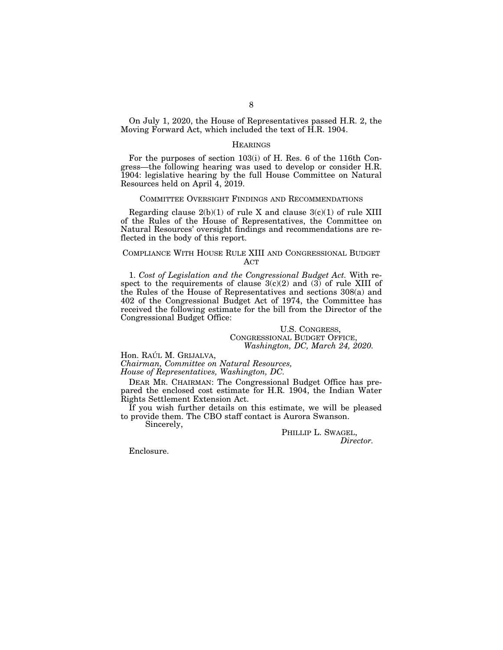On July 1, 2020, the House of Representatives passed H.R. 2, the Moving Forward Act, which included the text of H.R. 1904.

#### **HEARINGS**

For the purposes of section 103(i) of H. Res. 6 of the 116th Congress—the following hearing was used to develop or consider H.R. 1904: legislative hearing by the full House Committee on Natural Resources held on April 4, 2019.

#### COMMITTEE OVERSIGHT FINDINGS AND RECOMMENDATIONS

Regarding clause  $2(b)(1)$  of rule X and clause  $3(c)(1)$  of rule XIII of the Rules of the House of Representatives, the Committee on Natural Resources' oversight findings and recommendations are reflected in the body of this report.

## COMPLIANCE WITH HOUSE RULE XIII AND CONGRESSIONAL BUDGET ACT

1. *Cost of Legislation and the Congressional Budget Act.* With respect to the requirements of clause  $3(c)(2)$  and  $(3)$  of rule XIII of the Rules of the House of Representatives and sections 308(a) and 402 of the Congressional Budget Act of 1974, the Committee has received the following estimate for the bill from the Director of the Congressional Budget Office:

> U.S. CONGRESS, CONGRESSIONAL BUDGET OFFICE, *Washington, DC, March 24, 2020.*

Hon. RAÚL M. GRIJALVA,

*Chairman, Committee on Natural Resources, House of Representatives, Washington, DC.* 

DEAR MR. CHAIRMAN: The Congressional Budget Office has prepared the enclosed cost estimate for H.R. 1904, the Indian Water Rights Settlement Extension Act.

If you wish further details on this estimate, we will be pleased to provide them. The CBO staff contact is Aurora Swanson. Sincerely,

> PHILLIP L. SWAGEL, *Director.*

Enclosure.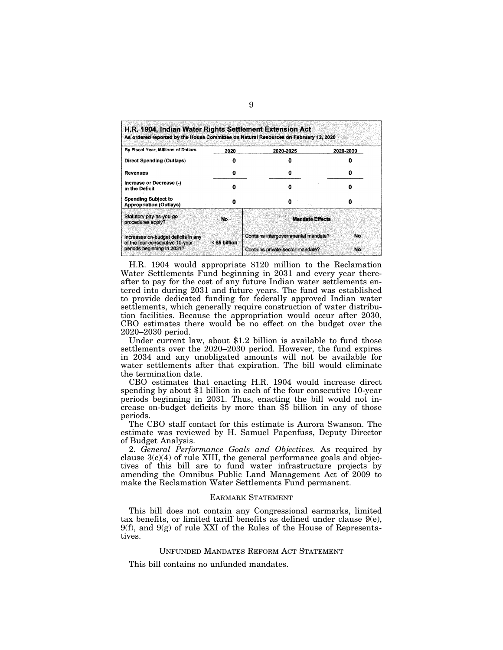| By Fiscal Year, Millions of Dollars                                    | 2020          | 2020-2025                           | 2020-2030 |
|------------------------------------------------------------------------|---------------|-------------------------------------|-----------|
| Direct Spending (Outlays)                                              |               |                                     |           |
| <b>Revenues</b>                                                        | 0             | o                                   |           |
| Increase or Decrease (-)<br>in the Deficit                             |               |                                     |           |
| <b>Spending Subject to</b><br><b>Appropriation (Outlays)</b>           | o             |                                     | 0         |
| Statutory pay-as-you-go<br>procedures apply?                           | No.           | <b>Mandate Effects</b>              |           |
| Increases on-budget deficits in any<br>of the four consecutive 10-year | < \$5 billion | Contains intergovernmental mandate? |           |
| periods beginning in 2031?                                             |               | Contains private-sector mandate?    | No        |

H.R. 1904 would appropriate \$120 million to the Reclamation Water Settlements Fund beginning in 2031 and every year thereafter to pay for the cost of any future Indian water settlements entered into during 2031 and future years. The fund was established to provide dedicated funding for federally approved Indian water settlements, which generally require construction of water distribution facilities. Because the appropriation would occur after 2030, CBO estimates there would be no effect on the budget over the 2020–2030 period.

Under current law, about \$1.2 billion is available to fund those settlements over the 2020–2030 period. However, the fund expires in 2034 and any unobligated amounts will not be available for water settlements after that expiration. The bill would eliminate the termination date.

CBO estimates that enacting H.R. 1904 would increase direct spending by about \$1 billion in each of the four consecutive 10-year periods beginning in 2031. Thus, enacting the bill would not increase on-budget deficits by more than \$5 billion in any of those periods.

The CBO staff contact for this estimate is Aurora Swanson. The estimate was reviewed by H. Samuel Papenfuss, Deputy Director of Budget Analysis.

2. *General Performance Goals and Objectives.* As required by clause  $3(c)(4)$  of rule XIII, the general performance goals and objectives of this bill are to fund water infrastructure projects by amending the Omnibus Public Land Management Act of 2009 to make the Reclamation Water Settlements Fund permanent.

#### EARMARK STATEMENT

This bill does not contain any Congressional earmarks, limited tax benefits, or limited tariff benefits as defined under clause  $9(e)$ ,  $9(f)$ , and  $9(g)$  of rule XXI of the Rules of the House of Representatives.

# UNFUNDED MANDATES REFORM ACT STATEMENT

This bill contains no unfunded mandates.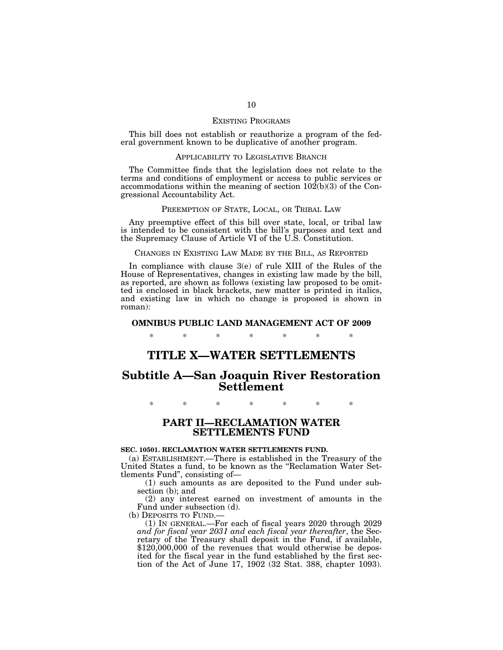#### EXISTING PROGRAMS

This bill does not establish or reauthorize a program of the federal government known to be duplicative of another program.

### APPLICABILITY TO LEGISLATIVE BRANCH

The Committee finds that the legislation does not relate to the terms and conditions of employment or access to public services or accommodations within the meaning of section  $10\overline{2(b)}(3)$  of the Congressional Accountability Act.

#### PREEMPTION OF STATE, LOCAL, OR TRIBAL LAW

Any preemptive effect of this bill over state, local, or tribal law is intended to be consistent with the bill's purposes and text and the Supremacy Clause of Article VI of the U.S. Constitution.

#### CHANGES IN EXISTING LAW MADE BY THE BILL, AS REPORTED

In compliance with clause 3(e) of rule XIII of the Rules of the House of Representatives, changes in existing law made by the bill, as reported, are shown as follows (existing law proposed to be omitted is enclosed in black brackets, new matter is printed in italics, and existing law in which no change is proposed is shown in roman):

#### **OMNIBUS PUBLIC LAND MANAGEMENT ACT OF 2009**

\* \* \* \* \* \* \*

# **TITLE X—WATER SETTLEMENTS**

# **Subtitle A—San Joaquin River Restoration Settlement**

\* \* \* \* \* \* \*

# **PART II—RECLAMATION WATER SETTLEMENTS FUND**

#### **SEC. 10501. RECLAMATION WATER SETTLEMENTS FUND.**

(a) ESTABLISHMENT.—There is established in the Treasury of the United States a fund, to be known as the ''Reclamation Water Settlements Fund'', consisting of—

(1) such amounts as are deposited to the Fund under subsection (b); and

(2) any interest earned on investment of amounts in the Fund under subsection (d).<br>(b) DEPOSITS TO FUND.—

(b) DEPOSITS TO FUND.— (1) IN GENERAL.—For each of fiscal years 2020 through 2029 *and for fiscal year 2031 and each fiscal year thereafter*, the Secretary of the Treasury shall deposit in the Fund, if available, \$120,000,000 of the revenues that would otherwise be deposited for the fiscal year in the fund established by the first section of the Act of June 17, 1902 (32 Stat. 388, chapter 1093).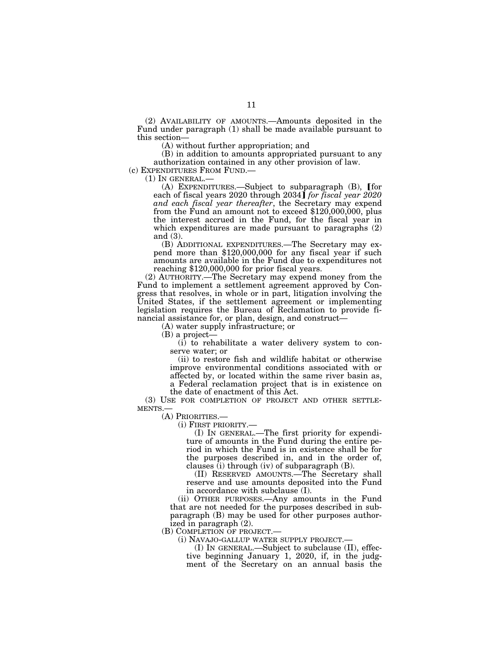(2) AVAILABILITY OF AMOUNTS.—Amounts deposited in the Fund under paragraph (1) shall be made available pursuant to this section—

(A) without further appropriation; and

(B) in addition to amounts appropriated pursuant to any authorization contained in any other provision of law.<br>(c) EXPENDITURES FROM FUND.—

(1) IN GENERAL.—<br>(A) EXPENDITURES.—Subject to subparagraph (B), [for each of fiscal years 2020 through 2034**]** *for fiscal year 2020* and each *fiscal year thereafter*, the Secretary may expend *from the Fund an amount not to exceed* \$120,000,000, plus the interest accrued in the Fund, for the fiscal year in which expenditures are made pursuant to paragraphs (2) and (3).

(B) ADDITIONAL EXPENDITURES.—The Secretary may expend more than \$120,000,000 for any fiscal year if such amounts are available in the Fund due to expenditures not reaching \$120,000,000 for prior fiscal years.

(2) AUTHORITY.—The Secretary may expend money from the Fund to implement a settlement agreement approved by Congress that resolves, in whole or in part, litigation involving the United States, if the settlement agreement or implementing legislation requires the Bureau of Reclamation to provide financial assistance for, or plan, design, and construct—

(A) water supply infrastructure; or

(B) a project—

(i) to rehabilitate a water delivery system to conserve water; or

(ii) to restore fish and wildlife habitat or otherwise improve environmental conditions associated with or affected by, or located within the same river basin as, a Federal reclamation project that is in existence on the date of enactment of this Act.

(3) USE FOR COMPLETION OF PROJECT AND OTHER SETTLE-<br>MENTS.—  $(A)$  PRIORITIES.—

(i)  $FIRST PRIORITY. —$ <br>(I) IN GENERAL.—The first priority for expenditure of amounts in the Fund during the entire period in which the Fund is in existence shall be for the purposes described in, and in the order of, clauses  $(i)$  through  $(iv)$  of subparagraph  $(B)$ .

(II) RESERVED AMOUNTS.—The Secretary shall reserve and use amounts deposited into the Fund in accordance with subclause (I).

(ii) OTHER PURPOSES.—Any amounts in the Fund that are not needed for the purposes described in subparagraph (B) may be used for other purposes authorized in paragraph (2).<br>(B) COMPLETION OF PROJECT.—

(i)  $NAVAJO-GALLUP WATER SUPPLY PROJECT. —$ <br>(I) IN GENERAL.—Subject to subclause (II), effec-

tive beginning January 1, 2020, if, in the judgment of the Secretary on an annual basis the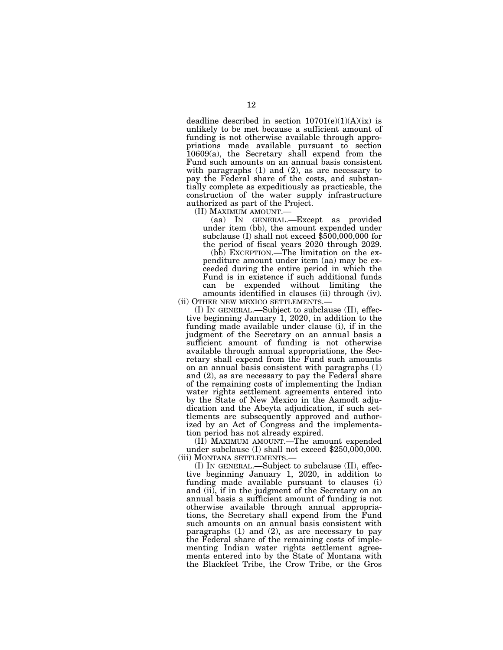deadline described in section  $10701(e)(1)(A)(ix)$  is unlikely to be met because a sufficient amount of funding is not otherwise available through appropriations made available pursuant to section 10609(a), the Secretary shall expend from the Fund such amounts on an annual basis consistent with paragraphs  $(1)$  and  $(2)$ , as are necessary to pay the Federal share of the costs, and substantially complete as expeditiously as practicable, the construction of the water supply infrastructure authorized as part of the Project.

(II) MAXIMUM AMOUNT.—

(aa) IN GENERAL.—Except as provided under item (bb), the amount expended under subclause (I) shall not exceed \$500,000,000 for the period of fiscal years 2020 through 2029.

(bb) EXCEPTION.—The limitation on the expenditure amount under item (aa) may be exceeded during the entire period in which the Fund is in existence if such additional funds can be expended without limiting the amounts identified in clauses (ii) through (iv).

(ii) OTHER NEW MEXICO SETTLEMENTS.— (I) IN GENERAL.—Subject to subclause (II), effec-

tive beginning January 1, 2020, in addition to the funding made available under clause (i), if in the judgment of the Secretary on an annual basis a sufficient amount of funding is not otherwise available through annual appropriations, the Secretary shall expend from the Fund such amounts on an annual basis consistent with paragraphs (1) and (2), as are necessary to pay the Federal share of the remaining costs of implementing the Indian water rights settlement agreements entered into by the State of New Mexico in the Aamodt adjudication and the Abeyta adjudication, if such settlements are subsequently approved and authorized by an Act of Congress and the implementation period has not already expired.

(II) MAXIMUM AMOUNT.—The amount expended under subclause (I) shall not exceed \$250,000,000. (iii) MONTANA SETTLEMENTS.—

(I) IN GENERAL.—Subject to subclause (II), effective beginning January 1, 2020, in addition to funding made available pursuant to clauses (i) and (ii), if in the judgment of the Secretary on an annual basis a sufficient amount of funding is not otherwise available through annual appropriations, the Secretary shall expend from the Fund such amounts on an annual basis consistent with paragraphs (1) and (2), as are necessary to pay the Federal share of the remaining costs of implementing Indian water rights settlement agreements entered into by the State of Montana with the Blackfeet Tribe, the Crow Tribe, or the Gros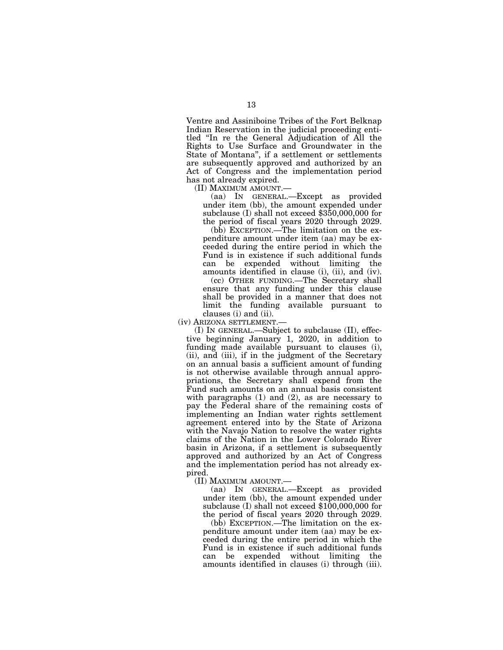Ventre and Assiniboine Tribes of the Fort Belknap Indian Reservation in the judicial proceeding entitled ''In re the General Adjudication of All the Rights to Use Surface and Groundwater in the State of Montana'', if a settlement or settlements are subsequently approved and authorized by an Act of Congress and the implementation period has not already expired.

(II) MAXIMUM AMOUNT.—

(aa) IN GENERAL.—Except as provided under item (bb), the amount expended under subclause (I) shall not exceed \$350,000,000 for the period of fiscal years 2020 through 2029.

(bb) EXCEPTION.—The limitation on the expenditure amount under item (aa) may be exceeded during the entire period in which the Fund is in existence if such additional funds can be expended without limiting the amounts identified in clause (i), (ii), and (iv).

(cc) OTHER FUNDING.—The Secretary shall ensure that any funding under this clause shall be provided in a manner that does not limit the funding available pursuant to clauses (i) and (ii).

(iv) ARIZONA SETTLEMENT.—

(I) IN GENERAL.—Subject to subclause (II), effective beginning January 1, 2020, in addition to funding made available pursuant to clauses (i), (ii), and (iii), if in the judgment of the Secretary on an annual basis a sufficient amount of funding is not otherwise available through annual appropriations, the Secretary shall expend from the Fund such amounts on an annual basis consistent with paragraphs (1) and (2), as are necessary to pay the Federal share of the remaining costs of implementing an Indian water rights settlement agreement entered into by the State of Arizona with the Navajo Nation to resolve the water rights claims of the Nation in the Lower Colorado River basin in Arizona, if a settlement is subsequently approved and authorized by an Act of Congress and the implementation period has not already expired.

(II) MAXIMUM AMOUNT.—

(aa) IN GENERAL.—Except as provided under item (bb), the amount expended under subclause (I) shall not exceed \$100,000,000 for the period of fiscal years 2020 through 2029.

(bb) EXCEPTION.—The limitation on the expenditure amount under item (aa) may be exceeded during the entire period in which the Fund is in existence if such additional funds can be expended without limiting the amounts identified in clauses (i) through (iii).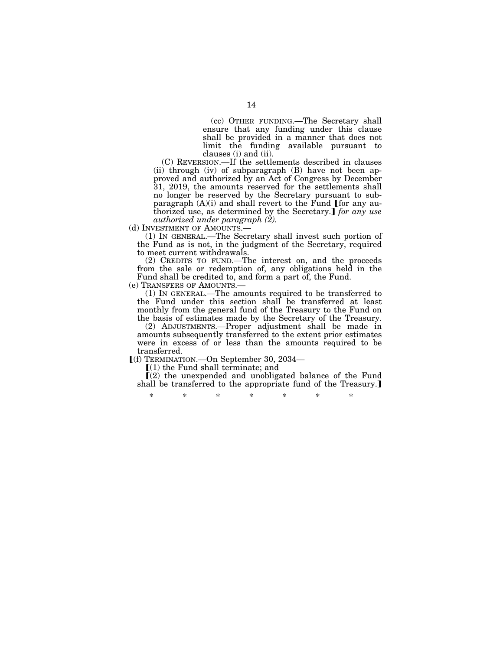(cc) OTHER FUNDING.—The Secretary shall ensure that any funding under this clause shall be provided in a manner that does not limit the funding available pursuant to clauses (i) and (ii).

(C) REVERSION.—If the settlements described in clauses (ii) through (iv) of subparagraph (B) have not been approved and authorized by an Act of Congress by December 31, 2019, the amounts reserved for the settlements shall no longer be reserved by the Secretary pursuant to sub-<br>paragraph (A)(i) and shall revert to the Fund [for any authorized use, as determined by the Secretary.] for any use *authorized under paragraph (2).* 

(d) INVESTMENT OF AMOUNTS.

(1) IN GENERAL.—The Secretary shall invest such portion of the Fund as is not, in the judgment of the Secretary, required to meet current withdrawals.

(2) CREDITS TO FUND.—The interest on, and the proceeds from the sale or redemption of, any obligations held in the Fund shall be credited to, and form a part of, the Fund.

(e) TRANSFERS OF AMOUNTS.— (1) IN GENERAL.—The amounts required to be transferred to the Fund under this section shall be transferred at least monthly from the general fund of the Treasury to the Fund on the basis of estimates made by the Secretary of the Treasury.

(2) ADJUSTMENTS.—Proper adjustment shall be made in amounts subsequently transferred to the extent prior estimates were in excess of or less than the amounts required to be transferred.

ø(f) TERMINATION.—On September 30, 2034—

 $(1)$  the Fund shall terminate; and

 $(2)$  the unexpended and unobligated balance of the Fund shall be transferred to the appropriate fund of the Treasury.

\* \* \* \* \* \* \*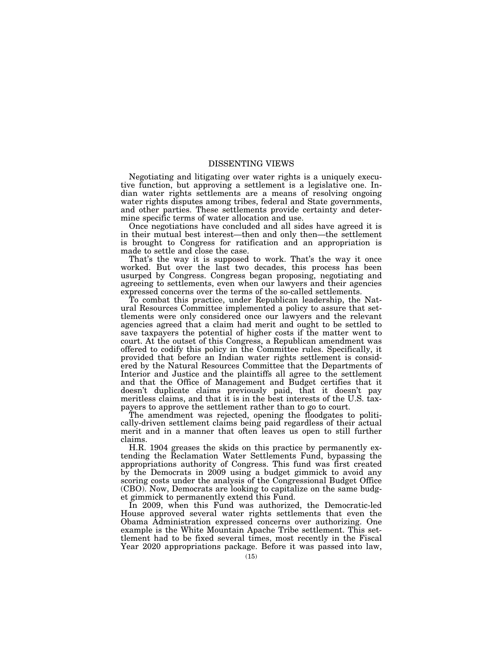#### DISSENTING VIEWS

Negotiating and litigating over water rights is a uniquely executive function, but approving a settlement is a legislative one. Indian water rights settlements are a means of resolving ongoing water rights disputes among tribes, federal and State governments, and other parties. These settlements provide certainty and determine specific terms of water allocation and use.

Once negotiations have concluded and all sides have agreed it is in their mutual best interest—then and only then—the settlement is brought to Congress for ratification and an appropriation is made to settle and close the case.

That's the way it is supposed to work. That's the way it once worked. But over the last two decades, this process has been usurped by Congress. Congress began proposing, negotiating and agreeing to settlements, even when our lawyers and their agencies expressed concerns over the terms of the so-called settlements.

To combat this practice, under Republican leadership, the Natural Resources Committee implemented a policy to assure that settlements were only considered once our lawyers and the relevant agencies agreed that a claim had merit and ought to be settled to save taxpayers the potential of higher costs if the matter went to court. At the outset of this Congress, a Republican amendment was offered to codify this policy in the Committee rules. Specifically, it provided that before an Indian water rights settlement is considered by the Natural Resources Committee that the Departments of Interior and Justice and the plaintiffs all agree to the settlement and that the Office of Management and Budget certifies that it doesn't duplicate claims previously paid, that it doesn't pay meritless claims, and that it is in the best interests of the U.S. taxpayers to approve the settlement rather than to go to court.

The amendment was rejected, opening the floodgates to politically-driven settlement claims being paid regardless of their actual merit and in a manner that often leaves us open to still further claims.

H.R. 1904 greases the skids on this practice by permanently extending the Reclamation Water Settlements Fund, bypassing the appropriations authority of Congress. This fund was first created by the Democrats in 2009 using a budget gimmick to avoid any scoring costs under the analysis of the Congressional Budget Office (CBO). Now, Democrats are looking to capitalize on the same budget gimmick to permanently extend this Fund.

In 2009, when this Fund was authorized, the Democratic-led House approved several water rights settlements that even the Obama Administration expressed concerns over authorizing. One example is the White Mountain Apache Tribe settlement. This settlement had to be fixed several times, most recently in the Fiscal Year 2020 appropriations package. Before it was passed into law,